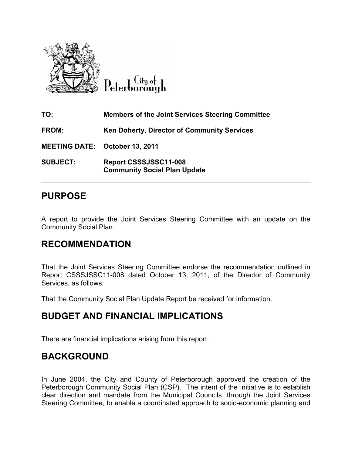

City of Peterborough

| TO:                                   | <b>Members of the Joint Services Steering Committee</b>      |
|---------------------------------------|--------------------------------------------------------------|
| <b>FROM:</b>                          | Ken Doherty, Director of Community Services                  |
| <b>MEETING DATE: October 13, 2011</b> |                                                              |
| <b>SUBJECT:</b>                       | Report CSSSJSSC11-008<br><b>Community Social Plan Update</b> |

# **PURPOSE**

A report to provide the Joint Services Steering Committee with an update on the Community Social Plan.

# **RECOMMENDATION**

That the Joint Services Steering Committee endorse the recommendation outlined in Report CSSSJSSC11-008 dated October 13, 2011, of the Director of Community Services, as follows:

That the Community Social Plan Update Report be received for information.

# **BUDGET AND FINANCIAL IMPLICATIONS**

There are financial implications arising from this report.

## **BACKGROUND**

In June 2004, the City and County of Peterborough approved the creation of the Peterborough Community Social Plan (CSP). The intent of the initiative is to establish clear direction and mandate from the Municipal Councils, through the Joint Services Steering Committee, to enable a coordinated approach to socio-economic planning and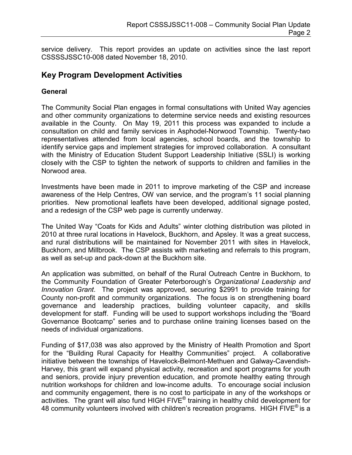service delivery. This report provides an update on activities since the last report CSSSSJSSC10-008 dated November 18, 2010.

### **Key Program Development Activities**

### **General**

The Community Social Plan engages in formal consultations with United Way agencies and other community organizations to determine service needs and existing resources available in the County. On May 19, 2011 this process was expanded to include a consultation on child and family services in Asphodel-Norwood Township. Twenty-two representatives attended from local agencies, school boards, and the township to identify service gaps and implement strategies for improved collaboration. A consultant with the Ministry of Education Student Support Leadership Initiative (SSLI) is working closely with the CSP to tighten the network of supports to children and families in the Norwood area.

Investments have been made in 2011 to improve marketing of the CSP and increase awareness of the Help Centres, OW van service, and the program's 11 social planning priorities. New promotional leaflets have been developed, additional signage posted, and a redesign of the CSP web page is currently underway.

The United Way "Coats for Kids and Adults" winter clothing distribution was piloted in 2010 at three rural locations in Havelock, Buckhorn, and Apsley. It was a great success, and rural distributions will be maintained for November 2011 with sites in Havelock, Buckhorn, and Millbrook. The CSP assists with marketing and referrals to this program, as well as set-up and pack-down at the Buckhorn site.

An application was submitted, on behalf of the Rural Outreach Centre in Buckhorn, to the Community Foundation of Greater Peterborough's *Organizational Leadership and Innovation Grant*. The project was approved, securing \$2991 to provide training for County non-profit and community organizations. The focus is on strengthening board governance and leadership practices, building volunteer capacity, and skills development for staff. Funding will be used to support workshops including the "Board Governance Bootcamp" series and to purchase online training licenses based on the needs of individual organizations.

Funding of \$17,038 was also approved by the Ministry of Health Promotion and Sport for the "Building Rural Capacity for Healthy Communities" project. A collaborative initiative between the townships of Havelock-Belmont-Methuen and Galway-Cavendish-Harvey, this grant will expand physical activity, recreation and sport programs for youth and seniors, provide injury prevention education, and promote healthy eating through nutrition workshops for children and low-income adults. To encourage social inclusion and community engagement, there is no cost to participate in any of the workshops or activities. The grant will also fund HIGH FIVE $^{\circ}$  training in healthy child development for 48 community volunteers involved with children's recreation programs. HIGH FIVE<sup>®</sup> is a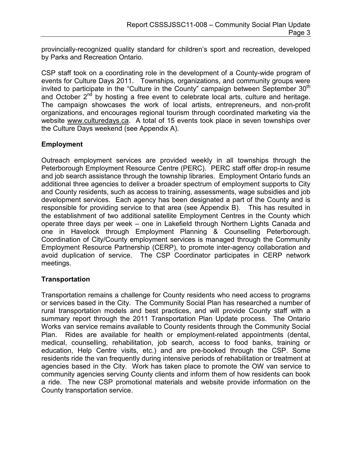provincially-recognized quality standard for children's sport and recreation, developed by Parks and Recreation Ontario.

CSP staff took on a coordinating role in the development of a County-wide program of events for Culture Days 2011. Townships, organizations, and community groups were invited to participate in the "Culture in the County" campaign between September  $30<sup>th</sup>$ and October  $2^{nd}$  by hosting a free event to celebrate local arts, culture and heritage. The campaign showcases the work of local artists, entrepreneurs, and non-profit organizations, and encourages regional tourism through coordinated marketing via the website [www.culturedays.ca.](http://www.culturedays.ca/) A total of 15 events took place in seven townships over the Culture Days weekend (see Appendix A).

### **Employment**

Outreach employment services are provided weekly in all townships through the Peterborough Employment Resource Centre (PERC). PERC staff offer drop-in resume and job search assistance through the township libraries. Employment Ontario funds an additional three agencies to deliver a broader spectrum of employment supports to City and County residents, such as access to training, assessments, wage subsidies and job development services. Each agency has been designated a part of the County and is responsible for providing service to that area (see Appendix B). This has resulted in the establishment of two additional satellite Employment Centres in the County which operate three days per week – one in Lakefield through Northern Lights Canada and one in Havelock through Employment Planning & Counselling Peterborough. Coordination of City/County employment services is managed through the Community Employment Resource Partnership (CERP), to promote inter-agency collaboration and avoid duplication of service. The CSP Coordinator participates in CERP network meetings.

#### **Transportation**

Transportation remains a challenge for County residents who need access to programs or services based in the City. The Community Social Plan has researched a number of rural transportation models and best practices, and will provide County staff with a summary report through the 2011 Transportation Plan Update process. The Ontario Works van service remains available to County residents through the Community Social Plan. Rides are available for health or employment-related appointments (dental, medical, counselling, rehabilitation, job search, access to food banks, training or education, Help Centre visits, etc.) and are pre-booked through the CSP. Some residents ride the van frequently during intensive periods of rehabilitation or treatment at agencies based in the City. Work has taken place to promote the OW van service to community agencies serving County clients and inform them of how residents can book a ride. The new CSP promotional materials and website provide information on the County transportation service.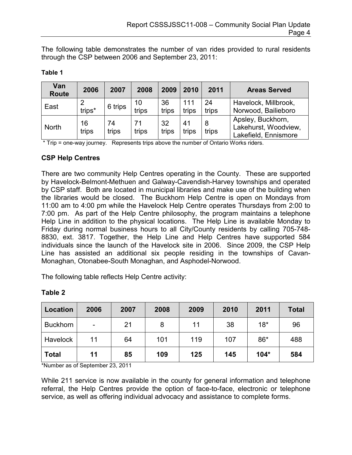The following table demonstrates the number of van rides provided to rural residents through the CSP between 2006 and September 23, 2011:

| Van<br><b>Route</b> | 2006        | 2007        | 2008        | 2009        | 2010         | 2011        | <b>Areas Served</b>                                               |
|---------------------|-------------|-------------|-------------|-------------|--------------|-------------|-------------------------------------------------------------------|
| East                | trips*      | 6 trips     | 10<br>trips | 36<br>trips | 111<br>trips | 24<br>trips | Havelock, Millbrook,<br>Norwood, Bailieboro                       |
| <b>North</b>        | 16<br>trips | 74<br>trips | 71<br>trips | 32<br>trips | 41<br>trips  | 8<br>trips  | Apsley, Buckhorn,<br>Lakehurst, Woodview,<br>Lakefield, Ennismore |

#### **Table 1**

\* Trip = one-way journey. Represents trips above the number of Ontario Works riders.

#### **CSP Help Centres**

There are two community Help Centres operating in the County. These are supported by Havelock-Belmont-Methuen and Galway-Cavendish-Harvey townships and operated by CSP staff. Both are located in municipal libraries and make use of the building when the libraries would be closed. The Buckhorn Help Centre is open on Mondays from 11:00 am to 4:00 pm while the Havelock Help Centre operates Thursdays from 2:00 to 7:00 pm. As part of the Help Centre philosophy, the program maintains a telephone Help Line in addition to the physical locations. The Help Line is available Monday to Friday during normal business hours to all City/County residents by calling 705-748- 8830, ext. 3817. Together, the Help Line and Help Centres have supported 584 individuals since the launch of the Havelock site in 2006. Since 2009, the CSP Help Line has assisted an additional six people residing in the townships of Cavan-Monaghan, Otonabee-South Monaghan, and Asphodel-Norwood.

The following table reflects Help Centre activity:

| <b>Location</b> | 2006 | 2007 | 2008 | 2009 | 2010 | 2011   | <b>Total</b> |
|-----------------|------|------|------|------|------|--------|--------------|
| <b>Buckhorn</b> | -    | 21   | 8    | 11   | 38   | $18*$  | 96           |
| Havelock        | 11   | 64   | 101  | 119  | 107  | $86*$  | 488          |
| <b>Total</b>    | 11   | 85   | 109  | 125  | 145  | $104*$ | 584          |

### **Table 2**

\*Number as of September 23, 2011

While 211 service is now available in the county for general information and telephone referral, the Help Centres provide the option of face-to-face, electronic or telephone service, as well as offering individual advocacy and assistance to complete forms.